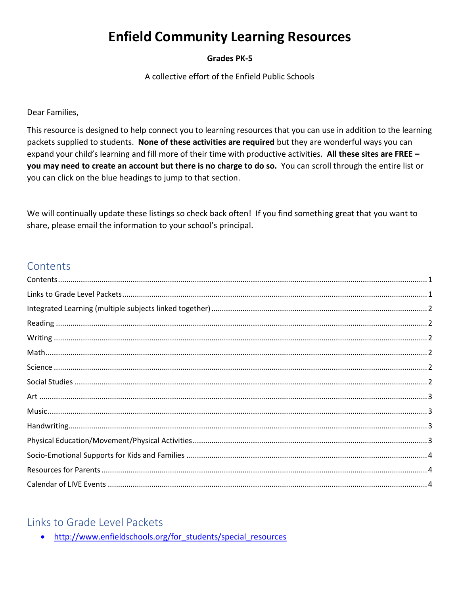# **Enfield Community Learning Resources**

#### **Grades PK-5**

A collective effort of the Enfield Public Schools

Dear Families,

This resource is designed to help connect you to learning resources that you can use in addition to the learning packets supplied to students. None of these activities are required but they are wonderful ways you can expand your child's learning and fill more of their time with productive activities. All these sites are FREE you may need to create an account but there is no charge to do so. You can scroll through the entire list or you can click on the blue headings to jump to that section.

We will continually update these listings so check back often! If you find something great that you want to share, please email the information to your school's principal.

### <span id="page-0-0"></span>Contents

| $\label{prop:main} \text{Handwriting}\\ \text{and}$ |  |
|-----------------------------------------------------|--|
|                                                     |  |
|                                                     |  |
|                                                     |  |
|                                                     |  |
|                                                     |  |

#### <span id="page-0-1"></span>**Links to Grade Level Packets**

. http://www.enfieldschools.org/for students/special resources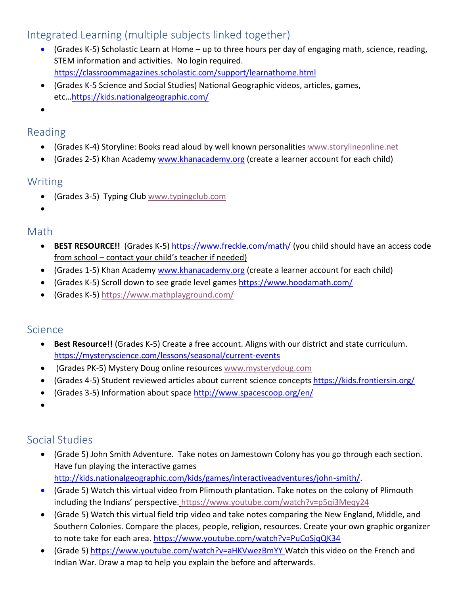### <span id="page-1-0"></span>Integrated Learning (multiple subjects linked together)

- (Grades K-5) Scholastic Learn at Home up to three hours per day of engaging math, science, reading, STEM information and activities. No login required. <https://classroommagazines.scholastic.com/support/learnathome.html>
- (Grades K-5 Science and Social Studies) National Geographic videos, articles, games, etc…<https://kids.nationalgeographic.com/>
- •

#### <span id="page-1-1"></span>Reading

- (Grades K-4) Storyline: Books read aloud by well known personalities [www.storylineonline.net](http://www.storylineonline.net/)
- (Grades 2-5) Khan Academy [www.khanacademy.org](http://www.khanacademy.org/) (create a learner account for each child)

#### <span id="page-1-2"></span>Writing

- (Grades 3-5) Typing Club [www.typingclub.com](http://www.typingclub.com/)
- •

### <span id="page-1-3"></span>Math

- **BEST RESOURCE!!** (Grades K-5[\) https://www.freckle.com/math/](https://www.freckle.com/math/) (you child should have an access code from school – contact your child's teacher if needed)
- (Grades 1-5) Khan Academy [www.khanacademy.org](http://www.khanacademy.org/) (create a learner account for each child)
- (Grades K-5) Scroll down to see grade level games <https://www.hoodamath.com/>
- (Grades K-5)<https://www.mathplayground.com/>

### <span id="page-1-4"></span>Science

- **Best Resource!!** (Grades K-5) Create a free account. Aligns with our district and state curriculum. <https://mysteryscience.com/lessons/seasonal/current-events>
- (Grades PK-5) Mystery Doug online resources [www.mysterydoug.com](http://www.mysterydoug.com/)
- (Grades 4-5) Student reviewed articles about current science concepts <https://kids.frontiersin.org/>
- (Grades 3-5) Information about space <http://www.spacescoop.org/en/>
- •

## <span id="page-1-5"></span>Social Studies

- (Grade 5) John Smith Adventure. Take notes on Jamestown Colony has you go through each section. Have fun playing the interactive games [http://kids.nationalgeographic.com/kids/games/interactiveadventures/john-smith/.](http://kids.nationalgeographic.com/kids/games/interactiveadventures/john-smith/)
- (Grade 5) Watch this virtual video from Plimouth plantation. Take notes on the colony of Plimouth including the Indians' perspective. <https://www.youtube.com/watch?v=p5qi3Meqy24>
- (Grade 5) Watch this virtual field trip video and take notes comparing the New England, Middle, and Southern Colonies. Compare the places, people, religion, resources. Create your own graphic organizer to note take for each area.<https://www.youtube.com/watch?v=PuCoSjqQK34>
- (Grade 5[\) https://www.youtube.com/watch?v=aHKVwezBmYY](https://www.youtube.com/watch?v=aHKVwezBmYY) Watch this video on the French and Indian War. Draw a map to help you explain the before and afterwards.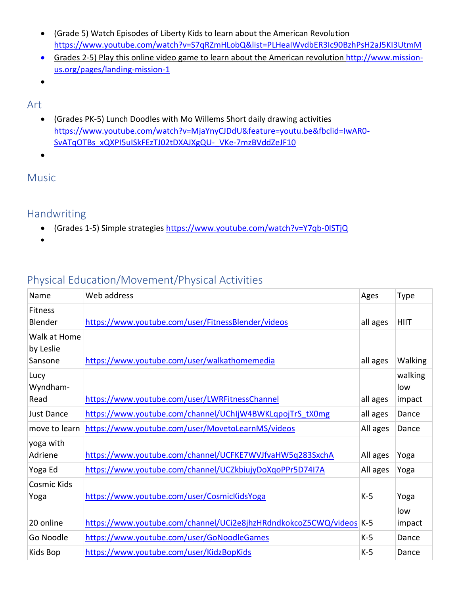- (Grade 5) Watch Episodes of Liberty Kids to learn about the American Revolution <https://www.youtube.com/watch?v=S7qRZmHLobQ&list=PLHeaIWvdbER3Ic90BzhPsH2aJ5KI3UtmM>
- Grades 2-5) Play this online video game to learn about the American revolution [http://www.mission](http://www.mission-us.org/pages/landing-mission-1)[us.org/pages/landing-mission-1](http://www.mission-us.org/pages/landing-mission-1)
- •

#### <span id="page-2-0"></span>Art

- (Grades PK-5) Lunch Doodles with Mo Willems Short daily drawing activities [https://www.youtube.com/watch?v=MjaYnyCJDdU&feature=youtu.be&fbclid=IwAR0-](https://www.youtube.com/watch?v=MjaYnyCJDdU&feature=youtu.be&fbclid=IwAR0-SvATqOTBs_xQXPI5uISkFEzTJ02tDXAJXgQU-_VKe-7mzBVddZeJF10) [SvATqOTBs\\_xQXPI5uISkFEzTJ02tDXAJXgQU-\\_VKe-7mzBVddZeJF10](https://www.youtube.com/watch?v=MjaYnyCJDdU&feature=youtu.be&fbclid=IwAR0-SvATqOTBs_xQXPI5uISkFEzTJ02tDXAJXgQU-_VKe-7mzBVddZeJF10)
- •

#### <span id="page-2-1"></span>Music

### <span id="page-2-2"></span>Handwriting

• (Grades 1-5) Simple strategies [https://www.youtube.com/watch?v=Y7qb-0ISTjQ](https://nam12.safelinks.protection.outlook.com/?url=https%3A%2F%2Fwww.youtube.com%2Fwatch%3Fv%3DY7qb-0ISTjQ&data=02%7C01%7Crsills%40enfieldschools.org%7C4d86c17fece04577c66c08d7ca8d085b%7C088b3fd5883b40dcb48435805988ad4f%7C0%7C0%7C637200579390458716&sdata=deskWYsFStAzR9X6AbR52bSnAacrjmm7eoP8O4AlSJI%3D&reserved=0)

•

## <span id="page-2-3"></span>Physical Education/Movement/Physical Activities

| Name                        | Web address                                                         | Ages     | <b>Type</b>               |
|-----------------------------|---------------------------------------------------------------------|----------|---------------------------|
| <b>Fitness</b><br>Blender   | https://www.youtube.com/user/FitnessBlender/videos                  | all ages | <b>HIIT</b>               |
| Walk at Home<br>by Leslie   |                                                                     |          |                           |
| Sansone<br>Lucy<br>Wyndham- | https://www.youtube.com/user/walkathomemedia                        | all ages | Walking<br>walking<br>low |
| Read                        | https://www.youtube.com/user/LWRFitnessChannel                      | all ages | impact                    |
| <b>Just Dance</b>           | https://www.youtube.com/channel/UChIjW4BWKLqpojTrS_tX0mg            | all ages | Dance                     |
| move to learn               | https://www.youtube.com/user/MovetoLearnMS/videos                   | All ages | Dance                     |
| yoga with<br>Adriene        | https://www.youtube.com/channel/UCFKE7WVJfvaHW5q283SxchA            | All ages | Yoga                      |
| Yoga Ed                     | https://www.youtube.com/channel/UCZkbiujyDoXqoPPr5D74I7A            | All ages | Yoga                      |
| <b>Cosmic Kids</b><br>Yoga  | https://www.youtube.com/user/CosmicKidsYoga                         | $K-5$    | Yoga                      |
| 20 online                   | https://www.youtube.com/channel/UCi2e8jhzHRdndkokcoZ5CWQ/videos K-5 |          | low<br>impact             |
| Go Noodle                   | https://www.youtube.com/user/GoNoodleGames                          | $K-5$    | Dance                     |
| Kids Bop                    | https://www.youtube.com/user/KidzBopKids                            | $K-5$    | Dance                     |